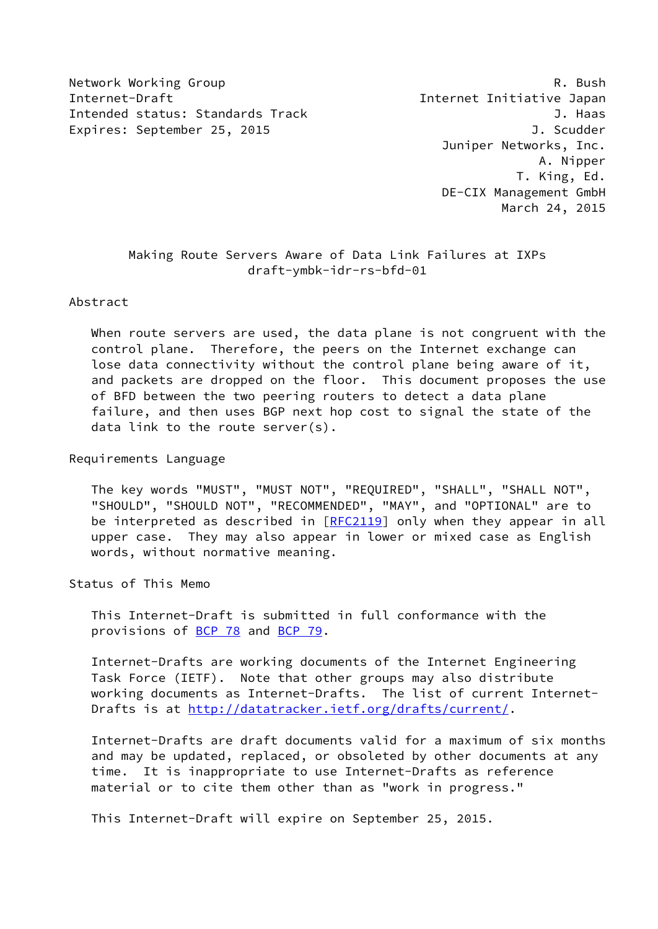Network Working Group **R. Bush** R. Bush Internet-Draft Internet Initiative Japan Intended status: Standards Track J. Haas Expires: September 25, 2015 and the contract of the September 25, 2015

 Juniper Networks, Inc. A. Nipper T. King, Ed. DE-CIX Management GmbH March 24, 2015

 Making Route Servers Aware of Data Link Failures at IXPs draft-ymbk-idr-rs-bfd-01

Abstract

 When route servers are used, the data plane is not congruent with the control plane. Therefore, the peers on the Internet exchange can lose data connectivity without the control plane being aware of it, and packets are dropped on the floor. This document proposes the use of BFD between the two peering routers to detect a data plane failure, and then uses BGP next hop cost to signal the state of the data link to the route server(s).

Requirements Language

 The key words "MUST", "MUST NOT", "REQUIRED", "SHALL", "SHALL NOT", "SHOULD", "SHOULD NOT", "RECOMMENDED", "MAY", and "OPTIONAL" are to be interpreted as described in [\[RFC2119](https://datatracker.ietf.org/doc/pdf/rfc2119)] only when they appear in all upper case. They may also appear in lower or mixed case as English words, without normative meaning.

Status of This Memo

 This Internet-Draft is submitted in full conformance with the provisions of [BCP 78](https://datatracker.ietf.org/doc/pdf/bcp78) and [BCP 79](https://datatracker.ietf.org/doc/pdf/bcp79).

 Internet-Drafts are working documents of the Internet Engineering Task Force (IETF). Note that other groups may also distribute working documents as Internet-Drafts. The list of current Internet Drafts is at<http://datatracker.ietf.org/drafts/current/>.

 Internet-Drafts are draft documents valid for a maximum of six months and may be updated, replaced, or obsoleted by other documents at any time. It is inappropriate to use Internet-Drafts as reference material or to cite them other than as "work in progress."

This Internet-Draft will expire on September 25, 2015.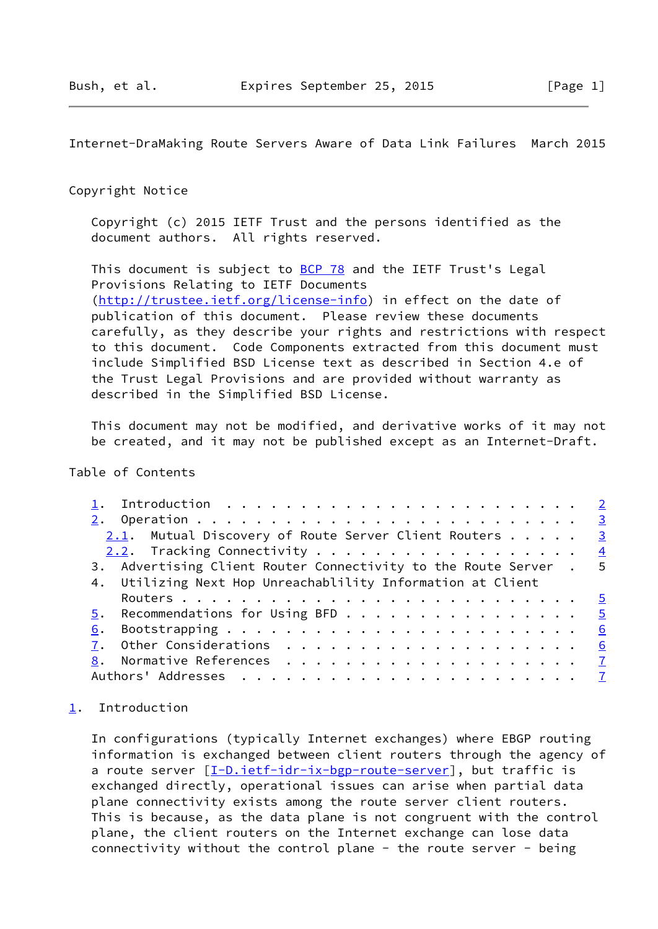<span id="page-1-1"></span>Internet-DraMaking Route Servers Aware of Data Link Failures March 2015

## Copyright Notice

 Copyright (c) 2015 IETF Trust and the persons identified as the document authors. All rights reserved.

This document is subject to **[BCP 78](https://datatracker.ietf.org/doc/pdf/bcp78)** and the IETF Trust's Legal Provisions Relating to IETF Documents [\(http://trustee.ietf.org/license-info](http://trustee.ietf.org/license-info)) in effect on the date of publication of this document. Please review these documents carefully, as they describe your rights and restrictions with respect to this document. Code Components extracted from this document must include Simplified BSD License text as described in Section 4.e of the Trust Legal Provisions and are provided without warranty as described in the Simplified BSD License.

 This document may not be modified, and derivative works of it may not be created, and it may not be published except as an Internet-Draft.

# Table of Contents

|    | $\overline{\mathbf{3}}$                                           |  |
|----|-------------------------------------------------------------------|--|
|    | 2.1. Mutual Discovery of Route Server Client Routers $\cdots$ 3   |  |
|    |                                                                   |  |
|    | 3. Advertising Client Router Connectivity to the Route Server . 5 |  |
|    | 4. Utilizing Next Hop Unreachablility Information at Client       |  |
|    |                                                                   |  |
|    | $\underline{5}$ . Recommendations for Using BFD 5                 |  |
| 6. | 6                                                                 |  |
|    | 6                                                                 |  |
|    |                                                                   |  |
|    |                                                                   |  |

# <span id="page-1-0"></span>[1](#page-1-0). Introduction

 In configurations (typically Internet exchanges) where EBGP routing information is exchanged between client routers through the agency of a route server  $[I-D.iett-idr-ix-bgp-route-server]$ , but traffic is exchanged directly, operational issues can arise when partial data plane connectivity exists among the route server client routers. This is because, as the data plane is not congruent with the control plane, the client routers on the Internet exchange can lose data connectivity without the control plane - the route server - being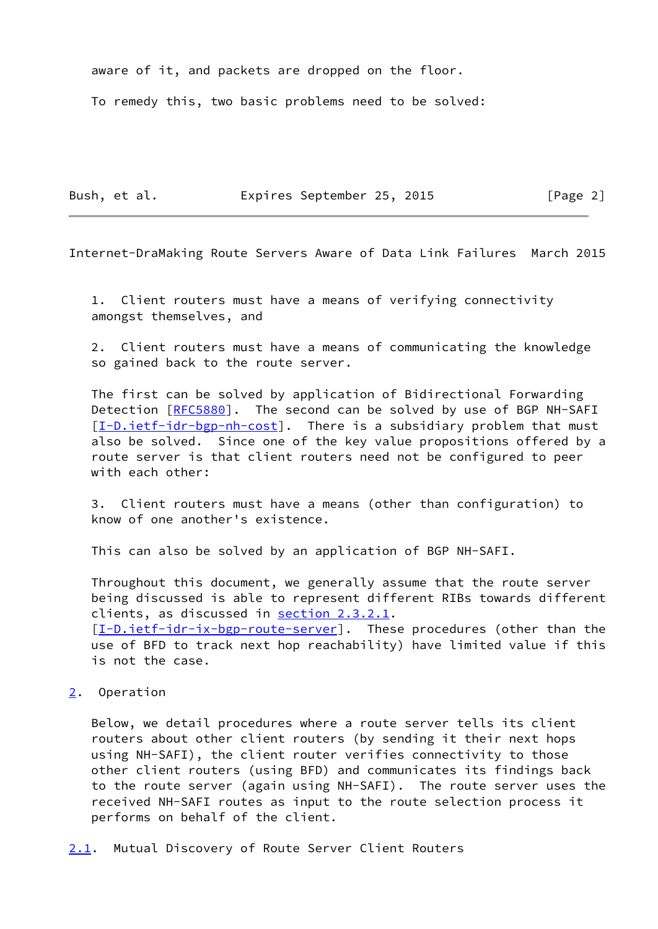aware of it, and packets are dropped on the floor.

To remedy this, two basic problems need to be solved:

Bush, et al. **Expires September 25, 2015** [Page 2]

<span id="page-2-1"></span>Internet-DraMaking Route Servers Aware of Data Link Failures March 2015

 1. Client routers must have a means of verifying connectivity amongst themselves, and

 2. Client routers must have a means of communicating the knowledge so gained back to the route server.

 The first can be solved by application of Bidirectional Forwarding Detection [[RFC5880](https://datatracker.ietf.org/doc/pdf/rfc5880)]. The second can be solved by use of BGP NH-SAFI  $[I-D.iett-idr-bgp-nh-cost]$ . There is a subsidiary problem that must also be solved. Since one of the key value propositions offered by a route server is that client routers need not be configured to peer with each other:

 3. Client routers must have a means (other than configuration) to know of one another's existence.

This can also be solved by an application of BGP NH-SAFI.

 Throughout this document, we generally assume that the route server being discussed is able to represent different RIBs towards different clients, as discussed in section 2.3.2.1. [\[I-D.ietf-idr-ix-bgp-route-server](#page-6-4)]. These procedures (other than the use of BFD to track next hop reachability) have limited value if this is not the case.

#### <span id="page-2-0"></span>[2](#page-2-0). Operation

 Below, we detail procedures where a route server tells its client routers about other client routers (by sending it their next hops using NH-SAFI), the client router verifies connectivity to those other client routers (using BFD) and communicates its findings back to the route server (again using NH-SAFI). The route server uses the received NH-SAFI routes as input to the route selection process it performs on behalf of the client.

<span id="page-2-2"></span>[2.1](#page-2-2). Mutual Discovery of Route Server Client Routers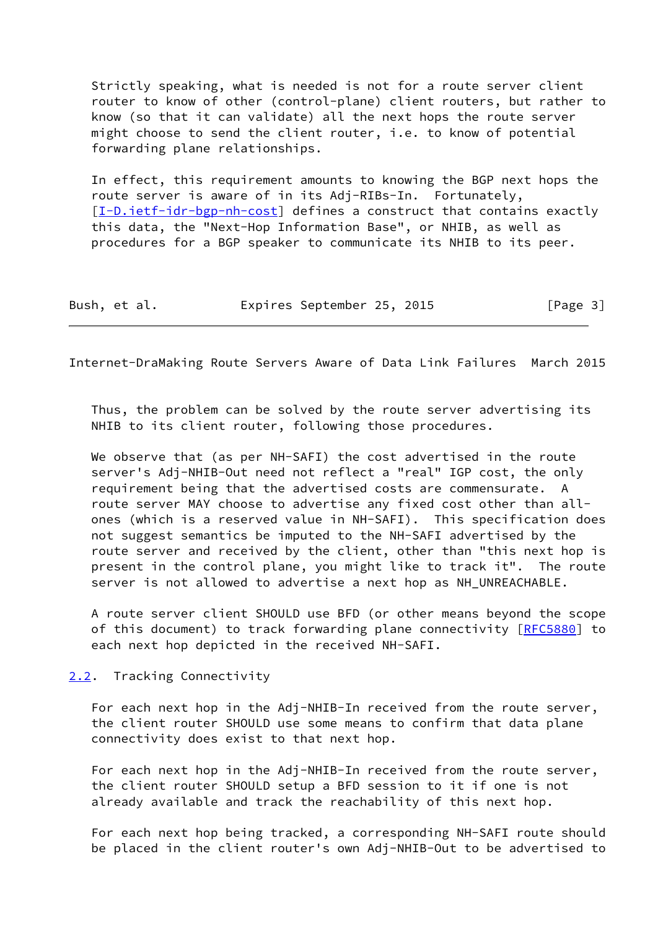Strictly speaking, what is needed is not for a route server client router to know of other (control-plane) client routers, but rather to know (so that it can validate) all the next hops the route server might choose to send the client router, i.e. to know of potential forwarding plane relationships.

 In effect, this requirement amounts to knowing the BGP next hops the route server is aware of in its Adj-RIBs-In. Fortunately, [\[I-D.ietf-idr-bgp-nh-cost](#page-6-5)] defines a construct that contains exactly this data, the "Next-Hop Information Base", or NHIB, as well as procedures for a BGP speaker to communicate its NHIB to its peer.

Bush, et al. **Expires September 25, 2015** [Page 3]

<span id="page-3-1"></span>Internet-DraMaking Route Servers Aware of Data Link Failures March 2015

 Thus, the problem can be solved by the route server advertising its NHIB to its client router, following those procedures.

 We observe that (as per NH-SAFI) the cost advertised in the route server's Adj-NHIB-Out need not reflect a "real" IGP cost, the only requirement being that the advertised costs are commensurate. A route server MAY choose to advertise any fixed cost other than all ones (which is a reserved value in NH-SAFI). This specification does not suggest semantics be imputed to the NH-SAFI advertised by the route server and received by the client, other than "this next hop is present in the control plane, you might like to track it". The route server is not allowed to advertise a next hop as NH\_UNREACHABLE.

 A route server client SHOULD use BFD (or other means beyond the scope of this document) to track forwarding plane connectivity [\[RFC5880](https://datatracker.ietf.org/doc/pdf/rfc5880)] to each next hop depicted in the received NH-SAFI.

<span id="page-3-0"></span>[2.2](#page-3-0). Tracking Connectivity

 For each next hop in the Adj-NHIB-In received from the route server, the client router SHOULD use some means to confirm that data plane connectivity does exist to that next hop.

 For each next hop in the Adj-NHIB-In received from the route server, the client router SHOULD setup a BFD session to it if one is not already available and track the reachability of this next hop.

 For each next hop being tracked, a corresponding NH-SAFI route should be placed in the client router's own Adj-NHIB-Out to be advertised to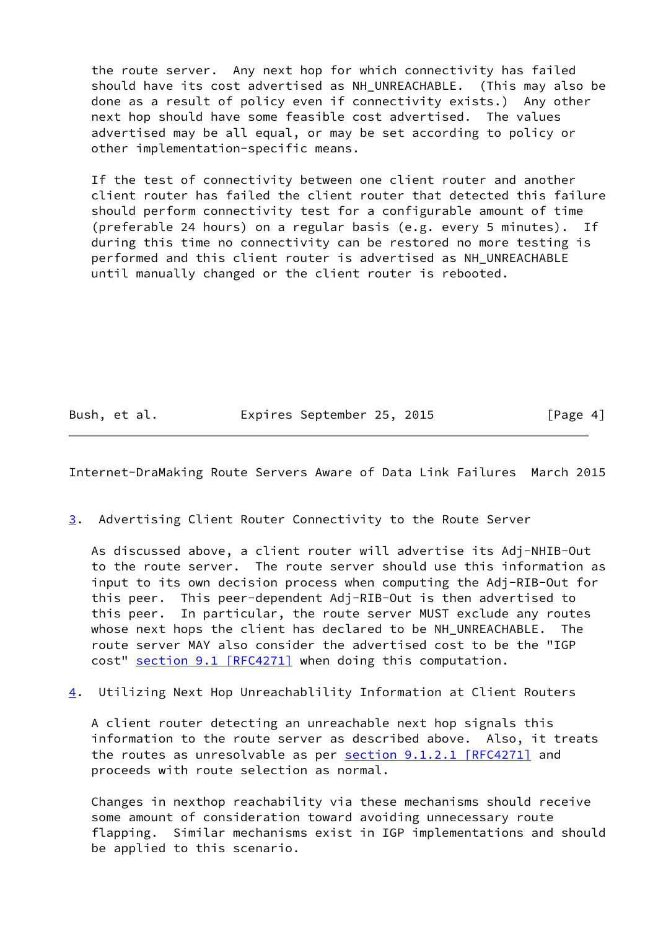the route server. Any next hop for which connectivity has failed should have its cost advertised as NH\_UNREACHABLE. (This may also be done as a result of policy even if connectivity exists.) Any other next hop should have some feasible cost advertised. The values advertised may be all equal, or may be set according to policy or other implementation-specific means.

 If the test of connectivity between one client router and another client router has failed the client router that detected this failure should perform connectivity test for a configurable amount of time (preferable 24 hours) on a regular basis (e.g. every 5 minutes). If during this time no connectivity can be restored no more testing is performed and this client router is advertised as NH\_UNREACHABLE until manually changed or the client router is rebooted.

Bush, et al. **Expires September 25, 2015** [Page 4]

<span id="page-4-0"></span>Internet-DraMaking Route Servers Aware of Data Link Failures March 2015

<span id="page-4-1"></span>[3](#page-4-1). Advertising Client Router Connectivity to the Route Server

 As discussed above, a client router will advertise its Adj-NHIB-Out to the route server. The route server should use this information as input to its own decision process when computing the Adj-RIB-Out for this peer. This peer-dependent Adj-RIB-Out is then advertised to this peer. In particular, the route server MUST exclude any routes whose next hops the client has declared to be NH UNREACHABLE. The route server MAY also consider the advertised cost to be the "IGP cost" section [9.1 \[RFC4271\]](https://datatracker.ietf.org/doc/pdf/rfc4271#section-9.1) when doing this computation.

<span id="page-4-2"></span>[4](#page-4-2). Utilizing Next Hop Unreachablility Information at Client Routers

 A client router detecting an unreachable next hop signals this information to the route server as described above. Also, it treats the routes as unresolvable as per section [9.1.2.1 \[RFC4271\]](https://datatracker.ietf.org/doc/pdf/rfc4271#section-9.1.2.1) and proceeds with route selection as normal.

 Changes in nexthop reachability via these mechanisms should receive some amount of consideration toward avoiding unnecessary route flapping. Similar mechanisms exist in IGP implementations and should be applied to this scenario.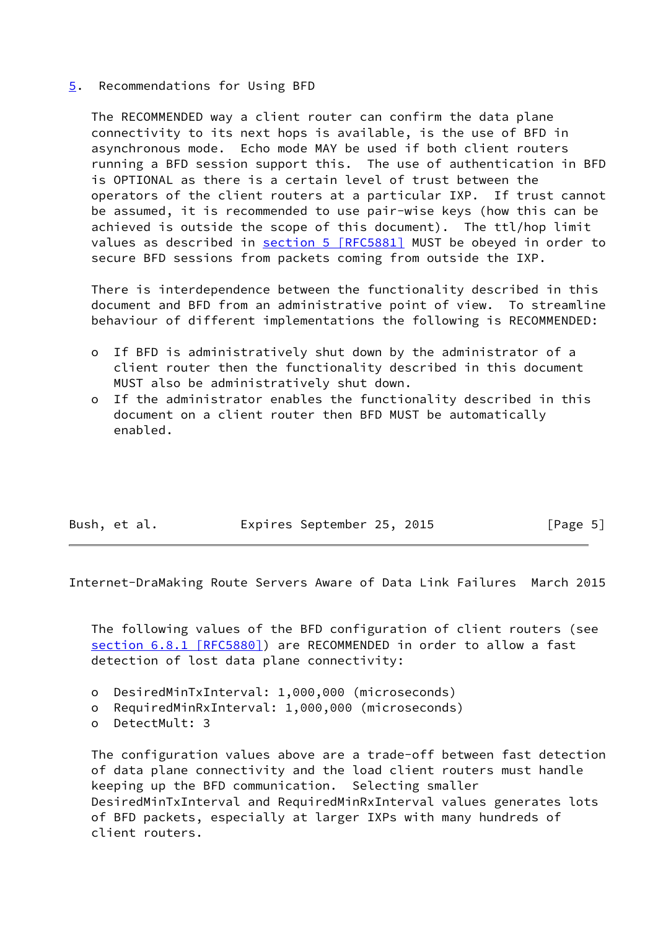## <span id="page-5-0"></span>[5](#page-5-0). Recommendations for Using BFD

 The RECOMMENDED way a client router can confirm the data plane connectivity to its next hops is available, is the use of BFD in asynchronous mode. Echo mode MAY be used if both client routers running a BFD session support this. The use of authentication in BFD is OPTIONAL as there is a certain level of trust between the operators of the client routers at a particular IXP. If trust cannot be assumed, it is recommended to use pair-wise keys (how this can be achieved is outside the scope of this document). The ttl/hop limit values as described in section [5 \[RFC5881\]](https://datatracker.ietf.org/doc/pdf/rfc5881#section-5) MUST be obeyed in order to secure BFD sessions from packets coming from outside the IXP.

 There is interdependence between the functionality described in this document and BFD from an administrative point of view. To streamline behaviour of different implementations the following is RECOMMENDED:

- o If BFD is administratively shut down by the administrator of a client router then the functionality described in this document MUST also be administratively shut down.
- o If the administrator enables the functionality described in this document on a client router then BFD MUST be automatically enabled.

| Bush, et al. | Expires September 25, 2015 | [Page 5] |
|--------------|----------------------------|----------|

<span id="page-5-1"></span>Internet-DraMaking Route Servers Aware of Data Link Failures March 2015

 The following values of the BFD configuration of client routers (see section [6.8.1 \[RFC5880\]](https://datatracker.ietf.org/doc/pdf/rfc5880#section-6.8.1)) are RECOMMENDED in order to allow a fast detection of lost data plane connectivity:

- o DesiredMinTxInterval: 1,000,000 (microseconds)
- o RequiredMinRxInterval: 1,000,000 (microseconds)
- o DetectMult: 3

 The configuration values above are a trade-off between fast detection of data plane connectivity and the load client routers must handle keeping up the BFD communication. Selecting smaller DesiredMinTxInterval and RequiredMinRxInterval values generates lots of BFD packets, especially at larger IXPs with many hundreds of client routers.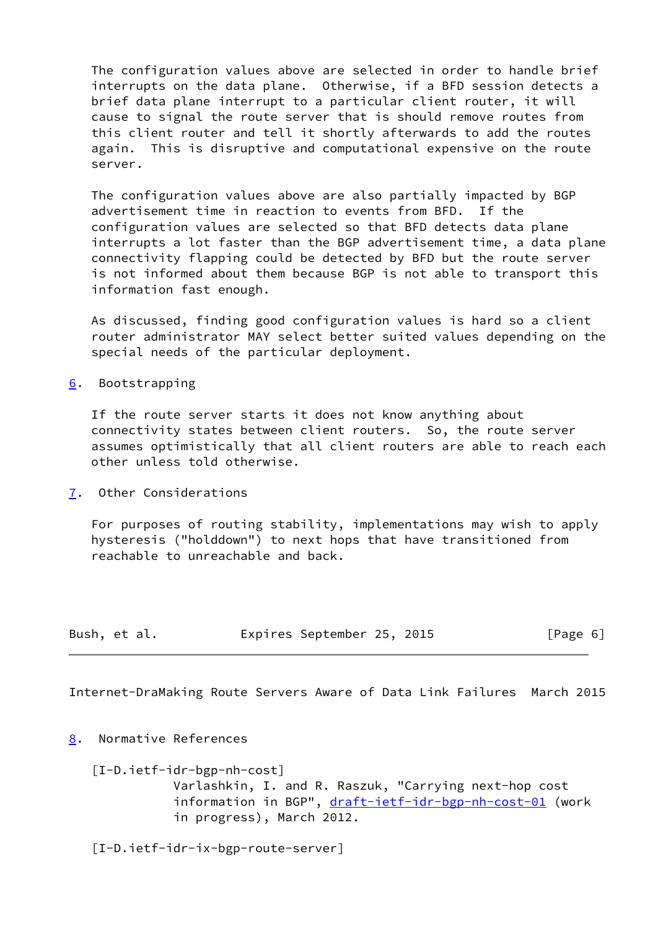The configuration values above are selected in order to handle brief interrupts on the data plane. Otherwise, if a BFD session detects a brief data plane interrupt to a particular client router, it will cause to signal the route server that is should remove routes from this client router and tell it shortly afterwards to add the routes again. This is disruptive and computational expensive on the route server.

 The configuration values above are also partially impacted by BGP advertisement time in reaction to events from BFD. If the configuration values are selected so that BFD detects data plane interrupts a lot faster than the BGP advertisement time, a data plane connectivity flapping could be detected by BFD but the route server is not informed about them because BGP is not able to transport this information fast enough.

 As discussed, finding good configuration values is hard so a client router administrator MAY select better suited values depending on the special needs of the particular deployment.

<span id="page-6-0"></span>[6](#page-6-0). Bootstrapping

 If the route server starts it does not know anything about connectivity states between client routers. So, the route server assumes optimistically that all client routers are able to reach each other unless told otherwise.

<span id="page-6-1"></span>[7](#page-6-1). Other Considerations

 For purposes of routing stability, implementations may wish to apply hysteresis ("holddown") to next hops that have transitioned from reachable to unreachable and back.

| Bush, et al. |  | Expires September 25, 2015 |  |  | [Page 6] |  |  |
|--------------|--|----------------------------|--|--|----------|--|--|
|--------------|--|----------------------------|--|--|----------|--|--|

<span id="page-6-3"></span>Internet-DraMaking Route Servers Aware of Data Link Failures March 2015

<span id="page-6-2"></span>[8](#page-6-2). Normative References

<span id="page-6-5"></span> [I-D.ietf-idr-bgp-nh-cost] Varlashkin, I. and R. Raszuk, "Carrying next-hop cost information in BGP", [draft-ietf-idr-bgp-nh-cost-01](https://datatracker.ietf.org/doc/pdf/draft-ietf-idr-bgp-nh-cost-01) (work in progress), March 2012.

<span id="page-6-4"></span>[I-D.ietf-idr-ix-bgp-route-server]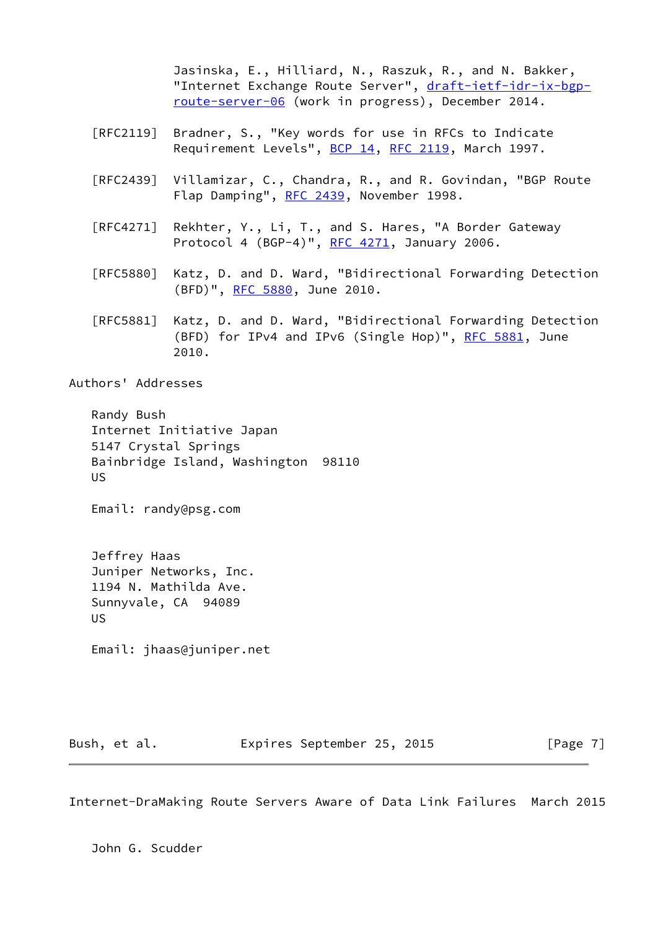Jasinska, E., Hilliard, N., Raszuk, R., and N. Bakker, "Internet Exchange Route Server", [draft-ietf-idr-ix-bgp](https://datatracker.ietf.org/doc/pdf/draft-ietf-idr-ix-bgp-route-server-06) [route-server-06](https://datatracker.ietf.org/doc/pdf/draft-ietf-idr-ix-bgp-route-server-06) (work in progress), December 2014.

- [RFC2119] Bradner, S., "Key words for use in RFCs to Indicate Requirement Levels", [BCP 14](https://datatracker.ietf.org/doc/pdf/bcp14), [RFC 2119](https://datatracker.ietf.org/doc/pdf/rfc2119), March 1997.
- [RFC2439] Villamizar, C., Chandra, R., and R. Govindan, "BGP Route Flap Damping", [RFC 2439](https://datatracker.ietf.org/doc/pdf/rfc2439), November 1998.
- [RFC4271] Rekhter, Y., Li, T., and S. Hares, "A Border Gateway Protocol 4 (BGP-4)", [RFC 4271](https://datatracker.ietf.org/doc/pdf/rfc4271), January 2006.
- [RFC5880] Katz, D. and D. Ward, "Bidirectional Forwarding Detection (BFD)", [RFC 5880,](https://datatracker.ietf.org/doc/pdf/rfc5880) June 2010.
- [RFC5881] Katz, D. and D. Ward, "Bidirectional Forwarding Detection (BFD) for IPv4 and IPv6 (Single Hop)", [RFC 5881](https://datatracker.ietf.org/doc/pdf/rfc5881), June 2010.

Authors' Addresses

 Randy Bush Internet Initiative Japan 5147 Crystal Springs Bainbridge Island, Washington 98110 US

Email: randy@psg.com

 Jeffrey Haas Juniper Networks, Inc. 1194 N. Mathilda Ave. Sunnyvale, CA 94089 US

Email: jhaas@juniper.net

Bush, et al. **Expires September 25, 2015** [Page 7]

Internet-DraMaking Route Servers Aware of Data Link Failures March 2015

John G. Scudder